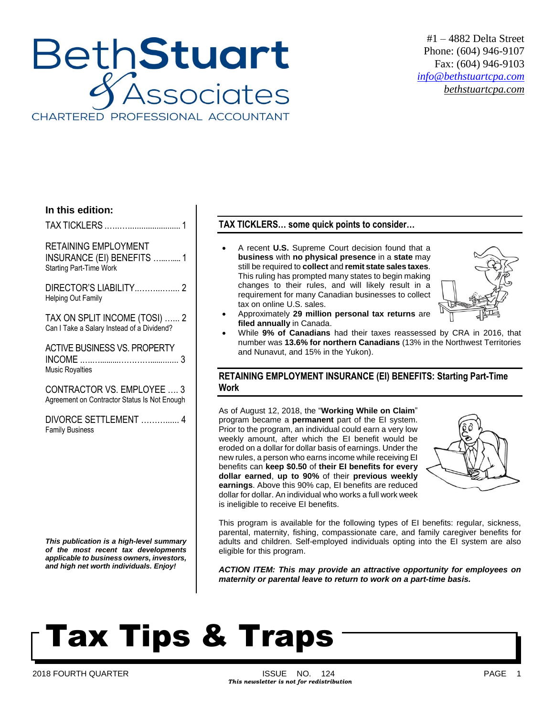### **BethStuart** Associates CHARTERED PROFESSIONAL ACCOUNTANT

#1 – 4882 Delta Street Phone: (604) 946-9107 Fax: (604) 946-9103 *[info@bethstuartcpa.com](mailto:info@bethstuartcpa.com) bethstuartcpa.com*

### **In this edition:**

TAX TICKLERS .…..…........................ 1

RETAINING EMPLOYMENT INSURANCE (EI) BENEFITS …..….... 1 Starting Part-Time Work

DIRECTOR'S LIABILITY..……...….... 2 Helping Out Family

TAX ON SPLIT INCOME (TOSI) …... 2 Can I Take a Salary Instead of a Dividend?

ACTIVE BUSINESS VS. PROPERTY INCOME .….….........…………............. 3 Music Royalties

CONTRACTOR VS. EMPLOYEE …. 3 Agreement on Contractor Status Is Not Enough

DIVORCE SETTLEMENT ………...... 4 Family Business

*This publication is a high-level summary of the most recent tax developments applicable to business owners, investors, and high net worth individuals. Enjoy!*

### **TAX TICKLERS… some quick points to consider…**

 A recent **U.S.** Supreme Court decision found that a **business** with **no physical presence** in a **state** may still be required to **collect** and **remit state sales taxes**. This ruling has prompted many states to begin making changes to their rules, and will likely result in a requirement for many Canadian businesses to collect tax on online U.S. sales.



- Approximately **29 million personal tax returns** are **filed annually** in Canada.
- While **9% of Canadians** had their taxes reassessed by CRA in 2016, that number was **13.6% for northern Canadians** (13% in the Northwest Territories and Nunavut, and 15% in the Yukon).

### **RETAINING EMPLOYMENT INSURANCE (EI) BENEFITS: Starting Part-Time Work**

As of August 12, 2018, the "**Working While on Claim**" program became a **permanent** part of the EI system. Prior to the program, an individual could earn a very low weekly amount, after which the EI benefit would be eroded on a dollar for dollar basis of earnings. Under the new rules, a person who earns income while receiving EI benefits can **keep \$0.50** of **their EI benefits for every dollar earned**, **up to 90%** of their **previous weekly earnings**. Above this 90% cap, EI benefits are reduced dollar for dollar. An individual who works a full work week is ineligible to receive EI benefits.



This program is available for the following types of EI benefits: regular, sickness, parental, maternity, fishing, compassionate care, and family caregiver benefits for adults and children. Self-employed individuals opting into the EI system are also eligible for this program.

*ACTION ITEM: This may provide an attractive opportunity for employees on maternity or parental leave to return to work on a part-time basis.*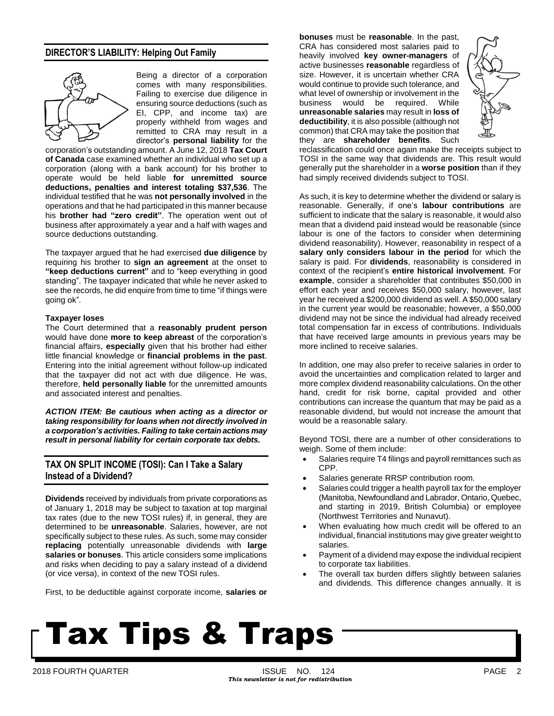### **DIRECTOR'S LIABILITY: Helping Out Family**



Being a director of a corporation comes with many responsibilities. Failing to exercise due diligence in ensuring source deductions (such as EI, CPP, and income tax) are properly withheld from wages and remitted to CRA may result in a director's **personal liability** for the

corporation's outstanding amount. A June 12, 2018 **Tax Court of Canada** case examined whether an individual who set up a corporation (along with a bank account) for his brother to operate would be held liable **for unremitted source deductions, penalties and interest totaling \$37,536**. The individual testified that he was **not personally involved** in the operations and that he had participated in this manner because his **brother had "zero credit"**. The operation went out of business after approximately a year and a half with wages and source deductions outstanding.

The taxpayer argued that he had exercised **due diligence** by requiring his brother to **sign an agreement** at the onset to **"keep deductions current"** and to "keep everything in good standing". The taxpayer indicated that while he never asked to see the records, he did enquire from time to time "if things were going ok".

#### **Taxpayer loses**

The Court determined that a **reasonably prudent person** would have done **more to keep abreast** of the corporation's financial affairs, **especially** given that his brother had either little financial knowledge or **financial problems in the past**. Entering into the initial agreement without follow-up indicated that the taxpayer did not act with due diligence. He was, therefore, **held personally liable** for the unremitted amounts and associated interest and penalties.

*ACTION ITEM: Be cautious when acting as a director or taking responsibility for loans when not directly involved in a corporation's activities. Failing to take certain actions may result in personal liability for certain corporate tax debts.*

### **TAX ON SPLIT INCOME (TOSI): Can I Take a Salary Instead of a Dividend?**

**Dividends** received by individuals from private corporations as of January 1, 2018 may be subject to taxation at top marginal tax rates (due to the new TOSI rules) if, in general, they are determined to be **unreasonable**. Salaries, however, are not specifically subject to these rules. As such, some may consider **replacing** potentially unreasonable dividends with **large salaries or bonuses**. This article considers some implications and risks when deciding to pay a salary instead of a dividend (or vice versa), in context of the new TOSI rules.

First, to be deductible against corporate income, **salaries or**

**bonuses** must be **reasonable**. In the past, CRA has considered most salaries paid to heavily involved **key owner-managers** of active businesses **reasonable** regardless of size. However, it is uncertain whether CRA would continue to provide such tolerance, and what level of ownership or involvement in the business would be required. While **unreasonable salaries** may result in **loss of deductibility**, it is also possible (although not common) that CRA may take the position that they are **shareholder benefits**. Such



reclassification could once again make the receipts subject to TOSI in the same way that dividends are. This result would generally put the shareholder in a **worse position** than if they had simply received dividends subject to TOSI.

As such, it is key to determine whether the dividend or salary is reasonable. Generally, if one's **labour contributions** are sufficient to indicate that the salary is reasonable, it would also mean that a dividend paid instead would be reasonable (since labour is one of the factors to consider when determining dividend reasonability). However, reasonability in respect of a **salary only considers labour in the period** for which the salary is paid. For **dividends**, reasonability is considered in context of the recipient's **entire historical involvement**. For **example**, consider a shareholder that contributes \$50,000 in effort each year and receives \$50,000 salary, however, last year he received a \$200,000 dividend as well. A \$50,000 salary in the current year would be reasonable; however, a \$50,000 dividend may not be since the individual had already received total compensation far in excess of contributions. Individuals that have received large amounts in previous years may be more inclined to receive salaries.

In addition, one may also prefer to receive salaries in order to avoid the uncertainties and complication related to larger and more complex dividend reasonability calculations. On the other hand, credit for risk borne, capital provided and other contributions can increase the quantum that may be paid as a reasonable dividend, but would not increase the amount that would be a reasonable salary.

Beyond TOSI, there are a number of other considerations to weigh. Some of them include:

- Salaries require T4 filings and payroll remittances such as CPP.
- Salaries generate RRSP contribution room.
- Salaries could trigger a health payroll tax for the employer (Manitoba, Newfoundland and Labrador, Ontario, Quebec, and starting in 2019, British Columbia) or employee (Northwest Territories and Nunavut).
- When evaluating how much credit will be offered to an individual, financial institutions may give greater weight to salaries.
- Payment of a dividend may expose the individual recipient to corporate tax liabilities.
- The overall tax burden differs slightly between salaries and dividends. This difference changes annually. It is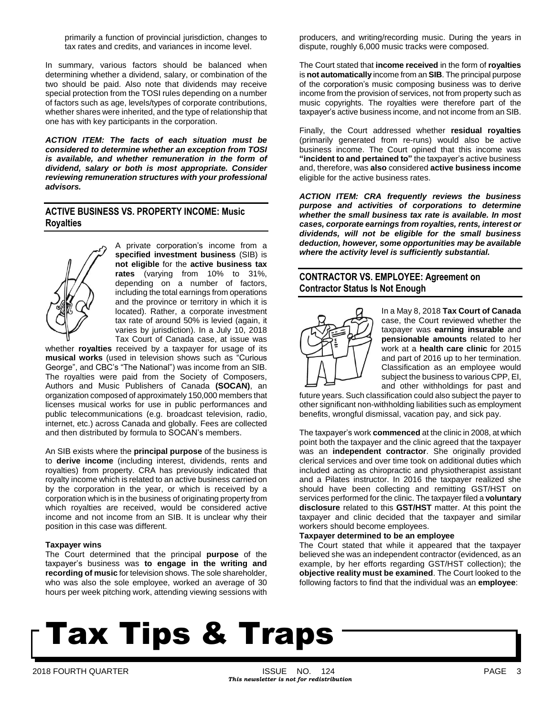primarily a function of provincial jurisdiction, changes to tax rates and credits, and variances in income level.

In summary, various factors should be balanced when determining whether a dividend, salary, or combination of the two should be paid. Also note that dividends may receive special protection from the TOSI rules depending on a number of factors such as age, levels/types of corporate contributions, whether shares were inherited, and the type of relationship that one has with key participants in the corporation.

*ACTION ITEM: The facts of each situation must be considered to determine whether an exception from TOSI is available, and whether remuneration in the form of dividend, salary or both is most appropriate. Consider reviewing remuneration structures with your professional advisors.*

### **ACTIVE BUSINESS VS. PROPERTY INCOME: Music Royalties**



A private corporation's income from a **specified investment business** (SIB) is **not eligible** for the **active business tax rates** (varying from 10% to 31%, depending on a number of factors, including the total earnings from operations and the province or territory in which it is located). Rather, a corporate investment tax rate of around 50% is levied (again, it varies by jurisdiction). In a July 10, 2018 Tax Court of Canada case, at issue was

whether **royalties** received by a taxpayer for usage of its **musical works** (used in television shows such as "Curious George", and CBC's "The National") was income from an SIB. The royalties were paid from the Society of Composers, Authors and Music Publishers of Canada **(SOCAN)**, an organization composed of approximately 150,000 members that licenses musical works for use in public performances and public telecommunications (e.g. broadcast television, radio, internet, etc.) across Canada and globally. Fees are collected and then distributed by formula to SOCAN's members.

An SIB exists where the **principal purpose** of the business is to **derive income** (including interest, dividends, rents and royalties) from property. CRA has previously indicated that royalty income which is related to an active business carried on by the corporation in the year, or which is received by a corporation which is in the business of originating property from which royalties are received, would be considered active income and not income from an SIB. It is unclear why their position in this case was different.

### **Taxpayer wins**

The Court determined that the principal **purpose** of the taxpayer's business was **to engage in the writing and recording of music** for television shows. The sole shareholder, who was also the sole employee, worked an average of 30 hours per week pitching work, attending viewing sessions with

producers, and writing/recording music. During the years in dispute, roughly 6,000 music tracks were composed.

The Court stated that **income received** in the form of **royalties** is **not automatically** income from an **SIB**. The principal purpose of the corporation's music composing business was to derive income from the provision of services, not from property such as music copyrights. The royalties were therefore part of the taxpayer's active business income, and not income from an SIB.

Finally, the Court addressed whether **residual royalties** (primarily generated from re-runs) would also be active business income. The Court opined that this income was **"incident to and pertained to"** the taxpayer's active business and, therefore, was **also** considered **active business income** eligible for the active business rates.

*ACTION ITEM: CRA frequently reviews the business purpose and activities of corporations to determine whether the small business tax rate is available. In most cases, corporate earnings from royalties, rents, interest or dividends, will not be eligible for the small business deduction, however, some opportunities may be available where the activity level is sufficiently substantial.*

### **CONTRACTOR VS. EMPLOYEE: Agreement on Contractor Status Is Not Enough**



In a May 8, 2018 **Tax Court of Canada** case, the Court reviewed whether the taxpayer was **earning insurable** and **pensionable amounts** related to her work at a **health care clinic** for 2015 and part of 2016 up to her termination. Classification as an employee would subject the business to various CPP, EI, and other withholdings for past and

future years. Such classification could also subject the payer to other significant non-withholding liabilities such as employment benefits, wrongful dismissal, vacation pay, and sick pay.

The taxpayer's work **commenced** at the clinic in 2008, at which point both the taxpayer and the clinic agreed that the taxpayer was an **independent contractor**. She originally provided clerical services and over time took on additional duties which included acting as chiropractic and physiotherapist assistant and a Pilates instructor. In 2016 the taxpayer realized she should have been collecting and remitting GST/HST on services performed for the clinic. The taxpayer filed a **voluntary disclosure** related to this **GST/HST** matter. At this point the taxpayer and clinic decided that the taxpayer and similar workers should become employees.

### **Taxpayer determined to be an employee**

The Court stated that while it appeared that the taxpayer believed she was an independent contractor (evidenced, as an example, by her efforts regarding GST/HST collection); the **objective reality must be examined**. The Court looked to the following factors to find that the individual was an **employee**: